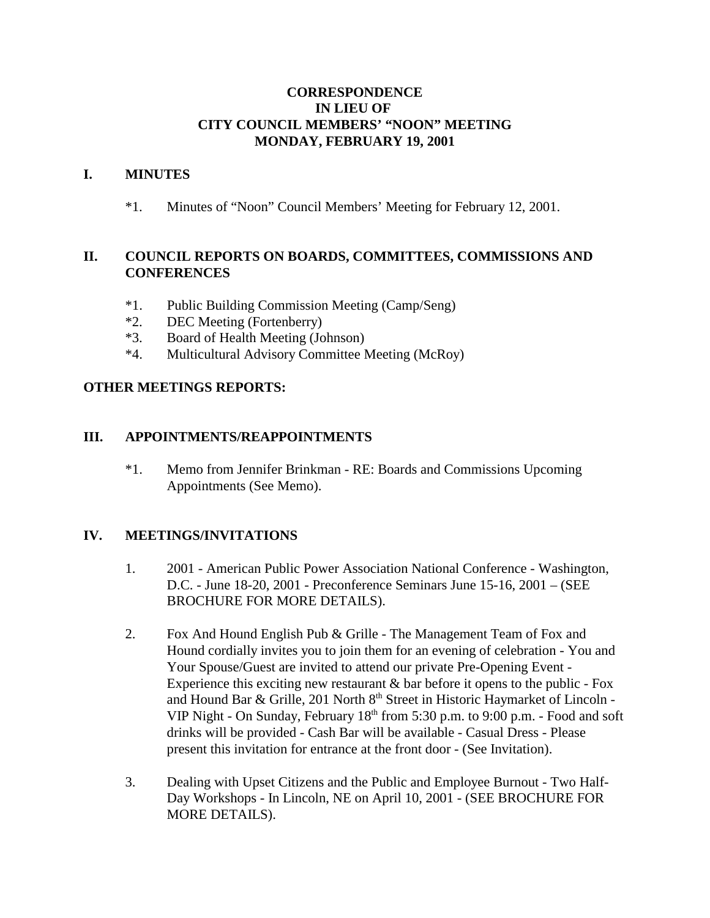## **CORRESPONDENCE IN LIEU OF CITY COUNCIL MEMBERS' "NOON" MEETING MONDAY, FEBRUARY 19, 2001**

### **I. MINUTES**

\*1. Minutes of "Noon" Council Members' Meeting for February 12, 2001.

# **II. COUNCIL REPORTS ON BOARDS, COMMITTEES, COMMISSIONS AND CONFERENCES**

- \*1. Public Building Commission Meeting (Camp/Seng)
- \*2. DEC Meeting (Fortenberry)
- \*3. Board of Health Meeting (Johnson)
- \*4. Multicultural Advisory Committee Meeting (McRoy)

### **OTHER MEETINGS REPORTS:**

### **III. APPOINTMENTS/REAPPOINTMENTS**

\*1. Memo from Jennifer Brinkman - RE: Boards and Commissions Upcoming Appointments (See Memo).

# **IV. MEETINGS/INVITATIONS**

- 1. 2001 American Public Power Association National Conference Washington, D.C. - June 18-20, 2001 - Preconference Seminars June 15-16, 2001 – (SEE BROCHURE FOR MORE DETAILS).
- 2. Fox And Hound English Pub & Grille The Management Team of Fox and Hound cordially invites you to join them for an evening of celebration - You and Your Spouse/Guest are invited to attend our private Pre-Opening Event - Experience this exciting new restaurant & bar before it opens to the public - Fox and Hound Bar & Grille, 201 North  $8<sup>th</sup>$  Street in Historic Haymarket of Lincoln -VIP Night - On Sunday, February  $18<sup>th</sup>$  from 5:30 p.m. to 9:00 p.m. - Food and soft drinks will be provided - Cash Bar will be available - Casual Dress - Please present this invitation for entrance at the front door - (See Invitation).
- 3. Dealing with Upset Citizens and the Public and Employee Burnout Two Half-Day Workshops - In Lincoln, NE on April 10, 2001 - (SEE BROCHURE FOR MORE DETAILS).